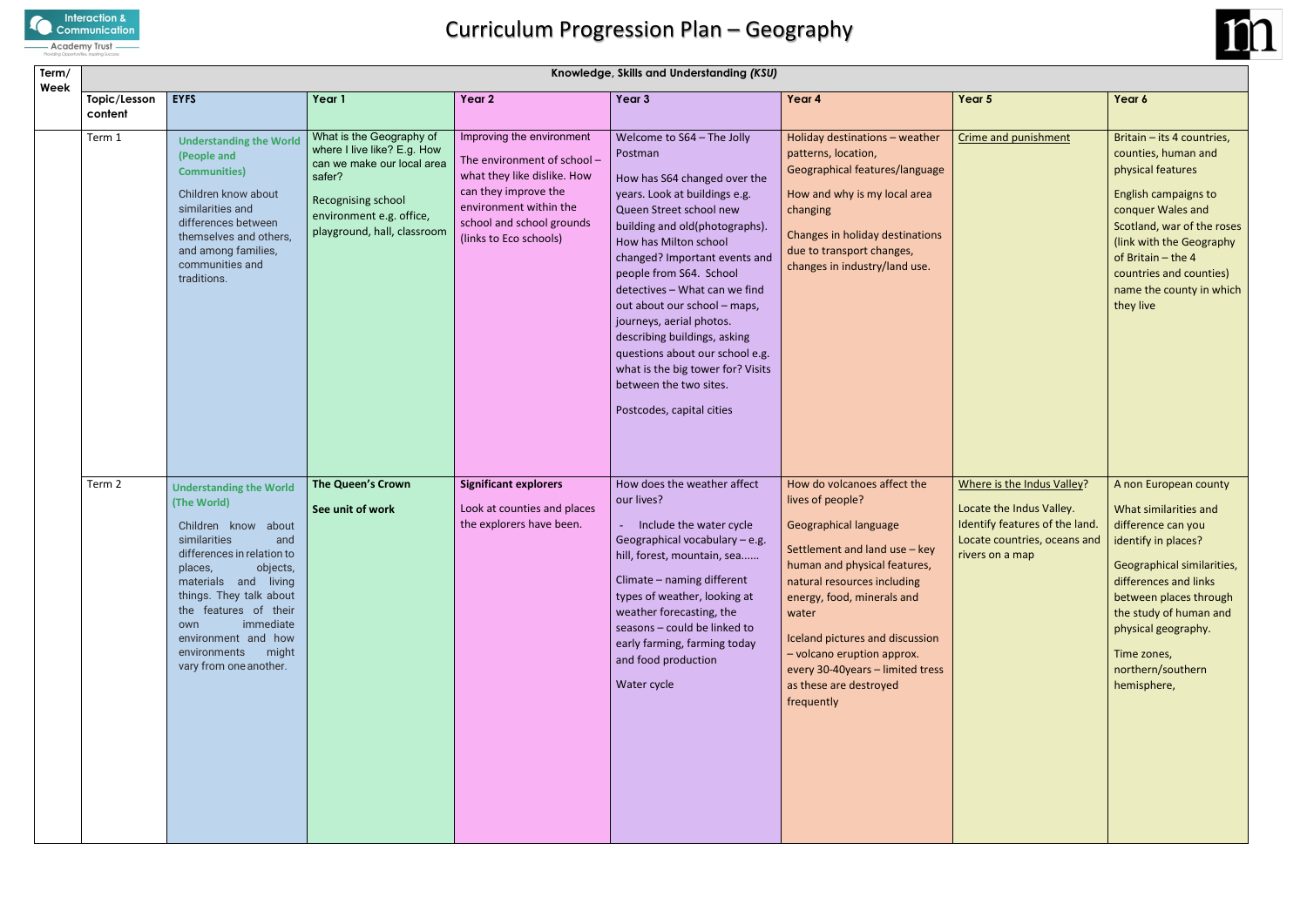

| Term/<br>Week |                         |                                                                                                                                                                                                                                                                                                                            |                                                                                                                                                                                  |                                                                                                                                                                                                  | Knowledge, Skills and Understanding (KSU)                                                                                                                                                                                                                                                                                                                                                                                                                                                                            |                                                                                                                                                                                                                                                                                                                                                                     |                                                                                                                                             |                                                                                                                                                                                                                                                                                  |
|---------------|-------------------------|----------------------------------------------------------------------------------------------------------------------------------------------------------------------------------------------------------------------------------------------------------------------------------------------------------------------------|----------------------------------------------------------------------------------------------------------------------------------------------------------------------------------|--------------------------------------------------------------------------------------------------------------------------------------------------------------------------------------------------|----------------------------------------------------------------------------------------------------------------------------------------------------------------------------------------------------------------------------------------------------------------------------------------------------------------------------------------------------------------------------------------------------------------------------------------------------------------------------------------------------------------------|---------------------------------------------------------------------------------------------------------------------------------------------------------------------------------------------------------------------------------------------------------------------------------------------------------------------------------------------------------------------|---------------------------------------------------------------------------------------------------------------------------------------------|----------------------------------------------------------------------------------------------------------------------------------------------------------------------------------------------------------------------------------------------------------------------------------|
|               | Topic/Lesson<br>content | <b>EYFS</b>                                                                                                                                                                                                                                                                                                                | Year 1                                                                                                                                                                           | Year 2                                                                                                                                                                                           | Year 3                                                                                                                                                                                                                                                                                                                                                                                                                                                                                                               | Year 4                                                                                                                                                                                                                                                                                                                                                              | Year 5                                                                                                                                      | Year 6                                                                                                                                                                                                                                                                           |
|               | Term 1                  | <b>Understanding the World</b><br>(People and<br><b>Communities)</b><br>Children know about<br>similarities and<br>differences between<br>themselves and others,<br>and among families,<br>communities and<br>traditions.                                                                                                  | What is the Geography of<br>where I live like? E.g. How<br>can we make our local area<br>safer?<br>Recognising school<br>environment e.g. office,<br>playground, hall, classroom | Improving the environment<br>The environment of school -<br>what they like dislike. How<br>can they improve the<br>environment within the<br>school and school grounds<br>(links to Eco schools) | Welcome to S64 - The Jolly<br>Postman<br>How has S64 changed over the<br>years. Look at buildings e.g.<br>Queen Street school new<br>building and old(photographs).<br>How has Milton school<br>changed? Important events and<br>people from S64. School<br>detectives - What can we find<br>out about our school - maps,<br>journeys, aerial photos.<br>describing buildings, asking<br>questions about our school e.g.<br>what is the big tower for? Visits<br>between the two sites.<br>Postcodes, capital cities | Holiday destinations - weather<br>patterns, location,<br>Geographical features/language<br>How and why is my local area<br>changing<br>Changes in holiday destinations<br>due to transport changes,<br>changes in industry/land use.                                                                                                                                | Crime and punishment                                                                                                                        | Britain - its 4 countries,<br>counties, human and<br>physical features<br>English campaigns to<br>conquer Wales and<br>Scotland, war of the roses<br>(link with the Geography<br>of Britain - the 4<br>countries and counties)<br>name the county in which<br>they live          |
|               | Term 2                  | <b>Understanding the World</b><br>(The World)<br>about<br>Children know<br>similarities<br>and<br>differences in relation to<br>objects,<br>places,<br>materials and living<br>things. They talk about<br>the features of their<br>immediate<br>own<br>environment and how<br>environments might<br>vary from one another. | The Queen's Crown<br>See unit of work                                                                                                                                            | <b>Significant explorers</b><br>Look at counties and places<br>the explorers have been.                                                                                                          | How does the weather affect<br>our lives?<br>Include the water cycle<br>Geographical vocabulary - e.g.<br>hill, forest, mountain, sea<br>Climate - naming different<br>types of weather, looking at<br>weather forecasting, the<br>seasons - could be linked to<br>early farming, farming today<br>and food production<br>Water cycle                                                                                                                                                                                | How do volcanoes affect the<br>lives of people?<br><b>Geographical language</b><br>Settlement and land use - key<br>human and physical features,<br>natural resources including<br>energy, food, minerals and<br>water<br>Iceland pictures and discussion<br>- volcano eruption approx.<br>every 30-40years - limited tress<br>as these are destroyed<br>frequently | Where is the Indus Valley?<br>Locate the Indus Valley.<br>Identify features of the land.<br>Locate countries, oceans and<br>rivers on a map | A non European county<br>What similarities and<br>difference can you<br>identify in places?<br>Geographical similarities,<br>differences and links<br>between places through<br>the study of human and<br>physical geography.<br>Time zones,<br>northern/southern<br>hemisphere, |

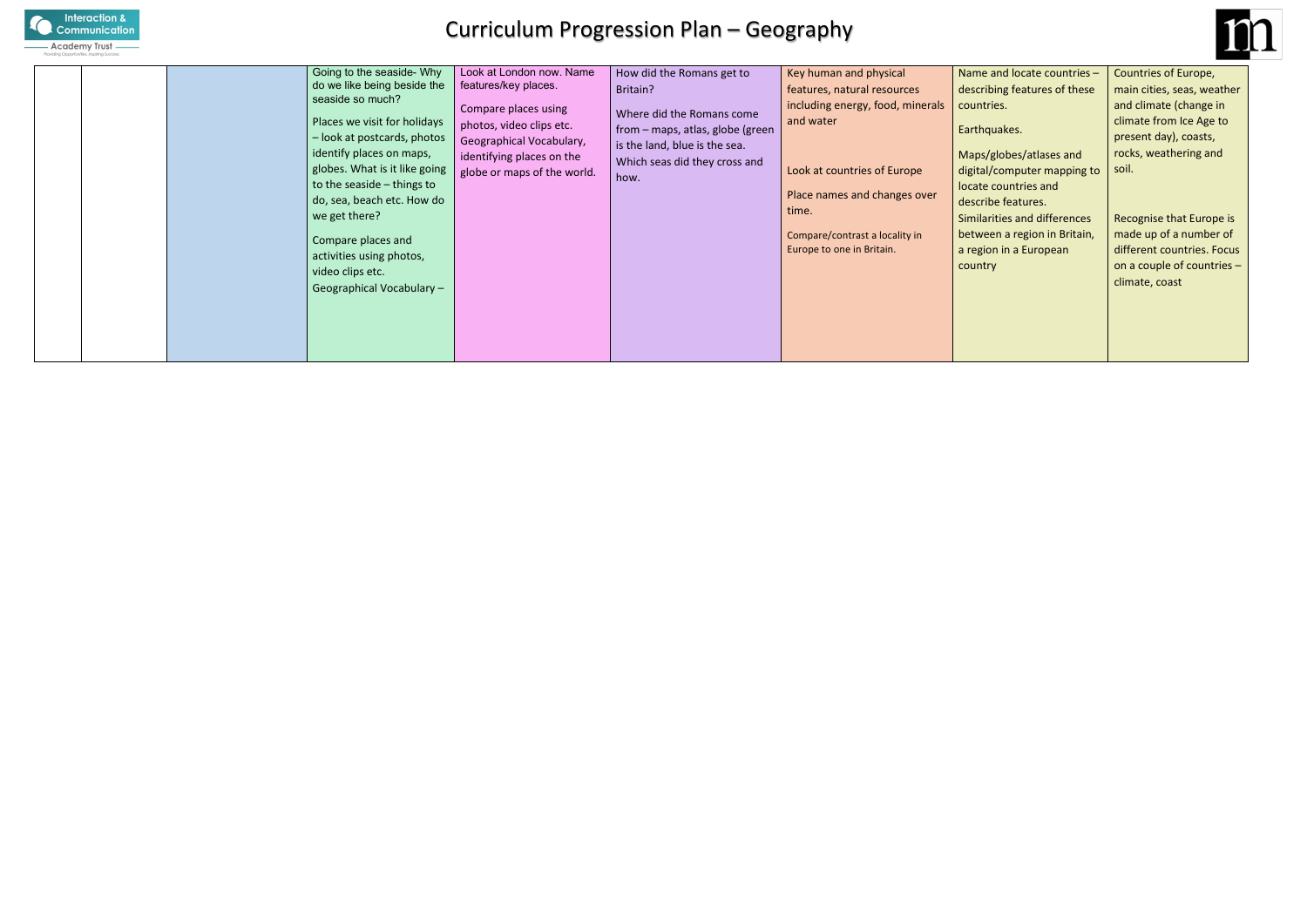

## Curriculum Progression Plan – Geography

|  |  |  | Going to the seaside- Why<br>do we like being beside the<br>seaside so much?<br>Places we visit for holidays<br>- look at postcards, photos<br>identify places on maps,<br>globes. What is it like going<br>to the seaside – things to<br>do, sea, beach etc. How do<br>we get there?<br>Compare places and<br>activities using photos,<br>video clips etc.<br>Geographical Vocabulary - | Look at London now. Name<br>features/key places.<br>Compare places using<br>photos, video clips etc.<br>Geographical Vocabulary,<br>identifying places on the<br>globe or maps of the world. | How did the Romans get to<br>Britain?<br>Where did the Romans come<br>from - maps, atlas, globe (green<br>is the land, blue is the sea.<br>Which seas did they cross and<br>how. | Key human and physical<br>features, natural resources<br>including energy, food, minerals<br>and water<br>Look at countries of Europe<br>Place names and changes over<br>time.<br>Compare/contrast a locality in<br>Europe to one in Britain. | Name a<br>describi<br>countrie<br>Earthqu<br>Maps/g<br>digital/<br>locate c<br>describ<br>Similari<br>betwee<br>a regior<br>country |
|--|--|--|------------------------------------------------------------------------------------------------------------------------------------------------------------------------------------------------------------------------------------------------------------------------------------------------------------------------------------------------------------------------------------------|----------------------------------------------------------------------------------------------------------------------------------------------------------------------------------------------|----------------------------------------------------------------------------------------------------------------------------------------------------------------------------------|-----------------------------------------------------------------------------------------------------------------------------------------------------------------------------------------------------------------------------------------------|-------------------------------------------------------------------------------------------------------------------------------------|
|--|--|--|------------------------------------------------------------------------------------------------------------------------------------------------------------------------------------------------------------------------------------------------------------------------------------------------------------------------------------------------------------------------------------------|----------------------------------------------------------------------------------------------------------------------------------------------------------------------------------------------|----------------------------------------------------------------------------------------------------------------------------------------------------------------------------------|-----------------------------------------------------------------------------------------------------------------------------------------------------------------------------------------------------------------------------------------------|-------------------------------------------------------------------------------------------------------------------------------------|



e and locate countries – ibing features of these  $r$ ies.

quakes.

- /globes/atlases and l/computer mapping to countries and
- be features.
- Irities and differences een a region in Britain, on in a European

Countries of Europe, main cities, seas, weather and climate (change in climate from Ice Age to present day), coasts, rocks, weathering and soil.

Recognise that Europe is made up of a number of different countries. Focus on a couple of countries – climate, coast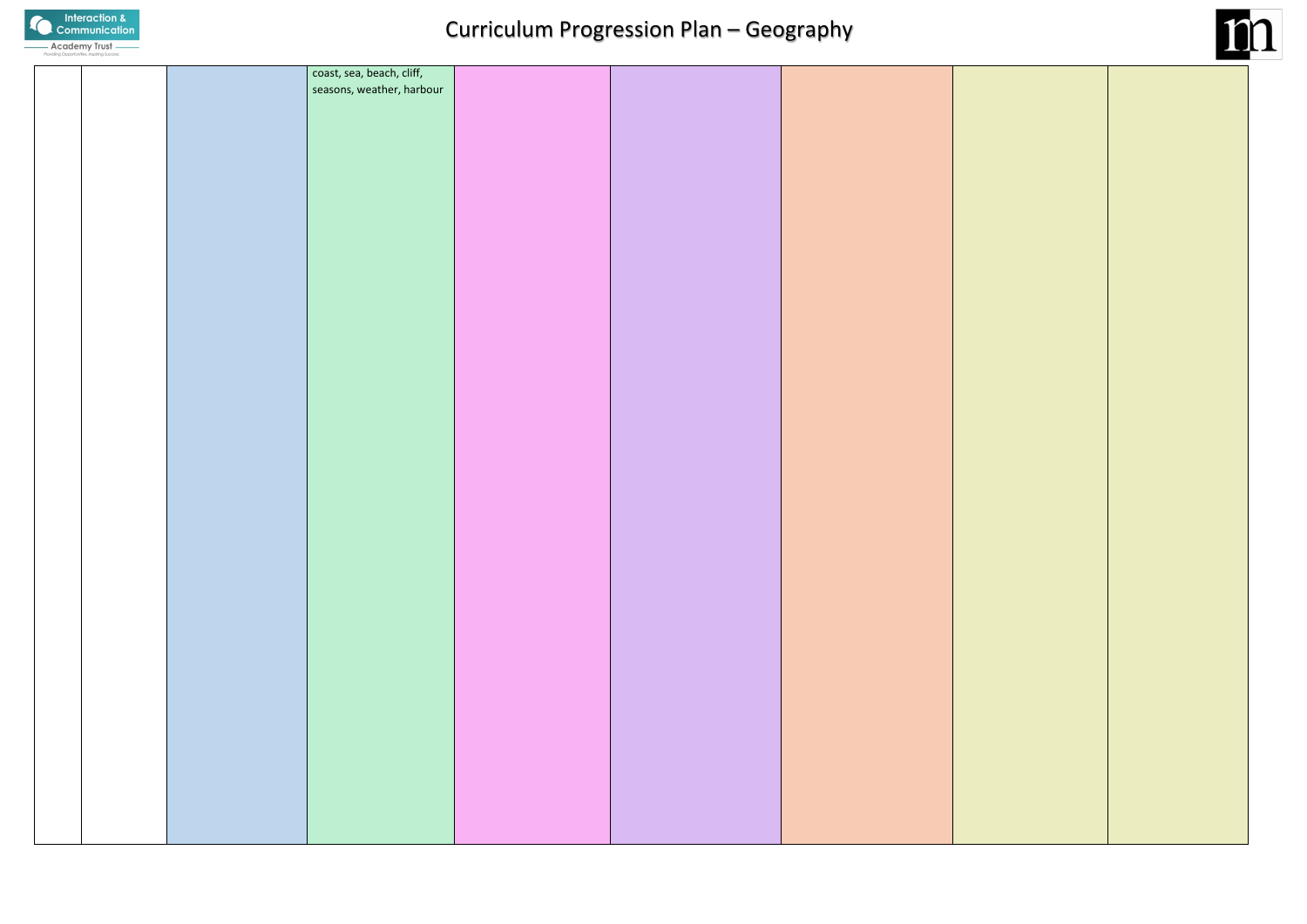

|  | coast, sea, beach, cliff, |  |  |
|--|---------------------------|--|--|
|  | seasons, weather, harbour |  |  |
|  |                           |  |  |
|  |                           |  |  |
|  |                           |  |  |
|  |                           |  |  |
|  |                           |  |  |
|  |                           |  |  |
|  |                           |  |  |
|  |                           |  |  |
|  |                           |  |  |
|  |                           |  |  |
|  |                           |  |  |
|  |                           |  |  |
|  |                           |  |  |
|  |                           |  |  |
|  |                           |  |  |
|  |                           |  |  |
|  |                           |  |  |
|  |                           |  |  |
|  |                           |  |  |
|  |                           |  |  |
|  |                           |  |  |
|  |                           |  |  |
|  |                           |  |  |
|  |                           |  |  |
|  |                           |  |  |
|  |                           |  |  |
|  |                           |  |  |
|  |                           |  |  |
|  |                           |  |  |
|  |                           |  |  |
|  |                           |  |  |
|  |                           |  |  |
|  |                           |  |  |
|  |                           |  |  |
|  |                           |  |  |
|  |                           |  |  |
|  |                           |  |  |
|  |                           |  |  |
|  |                           |  |  |
|  |                           |  |  |
|  |                           |  |  |
|  |                           |  |  |
|  |                           |  |  |
|  |                           |  |  |
|  |                           |  |  |
|  |                           |  |  |
|  |                           |  |  |
|  |                           |  |  |
|  |                           |  |  |
|  |                           |  |  |
|  |                           |  |  |
|  |                           |  |  |
|  |                           |  |  |